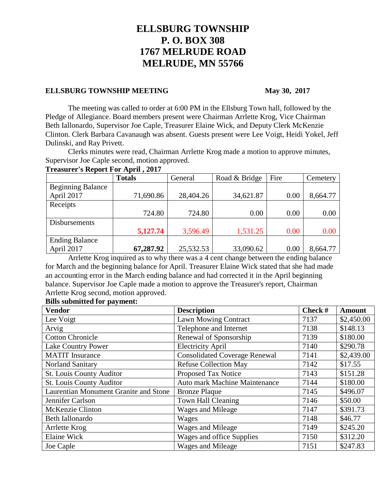# **ELLSBURG TOWNSHIP P. O. BOX 308 1767 MELRUDE ROAD MELRUDE, MN 55766**

## **ELLSBURG TOWNSHIP MEETING** May 30, 2017

The meeting was called to order at 6:00 PM in the Ellsburg Town hall, followed by the Pledge of Allegiance. Board members present were Chairman Arrlette Krog, Vice Chairman Beth Iallonardo, Supervisor Joe Caple, Treasurer Elaine Wick, and Deputy Clerk McKenzie Clinton. Clerk Barbara Cavanaugh was absent. Guests present were Lee Voigt, Heidi Yokel, Jeff Dulinski, and Ray Privett.

Clerks minutes were read, Chairman Arrlette Krog made a motion to approve minutes, Supervisor Joe Caple second, motion approved.

### **Treasurer's Report For April , 2017**

|                          | <b>Totals</b> | General   | Road & Bridge | Fire | Cemetery |
|--------------------------|---------------|-----------|---------------|------|----------|
| <b>Beginning Balance</b> |               |           |               |      |          |
| April 2017               | 71,690.86     | 28,404.26 | 34,621.87     | 0.00 | 8,664.77 |
| Receipts                 |               |           |               |      |          |
|                          | 724.80        | 724.80    | 0.00          | 0.00 | 0.00     |
| Disbursements            |               |           |               |      |          |
|                          | 5,127.74      | 3,596.49  | 1,531.25      | 0.00 | 0.00     |
| <b>Ending Balance</b>    |               |           |               |      |          |
| April 2017               | 67,287.92     | 25,532.53 | 33,090.62     | 0.00 | 8,664.77 |

Arrlette Krog inquired as to why there was a 4 cent change between the ending balance for March and the beginning balance for April. Treasurer Elaine Wick stated that she had made an accounting error in the March ending balance and had corrected it in the April beginning balance. Supervisor Joe Caple made a motion to approve the Treasurer's report, Chairman Arrlette Krog second, motion approved.

### **Bills submitted for payment:**

| <b>Vendor</b>                         | <b>Description</b>                   | Check $#$ | <b>Amount</b> |
|---------------------------------------|--------------------------------------|-----------|---------------|
| Lee Voigt                             | <b>Lawn Mowing Contract</b>          | 7137      | \$2,450.00    |
| Arvig                                 | Telephone and Internet               | 7138      | \$148.13      |
| <b>Cotton Chronicle</b>               | Renewal of Sponsorship               | 7139      | \$180.00      |
| <b>Lake Country Power</b>             | <b>Electricity April</b>             | 7140      | \$290.78      |
| <b>MATIT</b> Insurance                | <b>Consolidated Coverage Renewal</b> | 7141      | \$2,439.00    |
| <b>Norland Sanitary</b>               | <b>Refuse Collection May</b>         | 7142      | \$17.55       |
| St. Louis County Auditor              | Proposed Tax Notice                  | 7143      | \$151.28      |
| <b>St. Louis County Auditor</b>       | Auto mark Machine Maintenance        | 7144      | \$180.00      |
| Laurentian Monument Granite and Stone | <b>Bronze Plaque</b>                 | 7145      | \$496.07      |
| Jennifer Carlson                      | Town Hall Cleaning                   | 7146      | \$50.00       |
| McKenzie Clinton                      | Wages and Mileage                    | 7147      | \$391.73      |
| Beth Iallonardo                       | Wages                                | 7148      | \$46.77       |
| Arrlette Krog                         | Wages and Mileage                    | 7149      | \$245.20      |
| Elaine Wick                           | Wages and office Supplies            | 7150      | \$312.20      |
| Joe Caple                             | Wages and Mileage                    | 7151      | \$247.83      |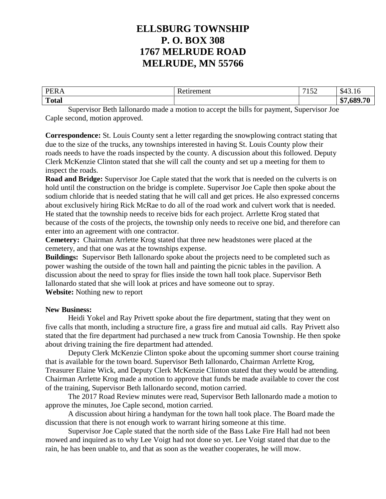# **ELLSBURG TOWNSHIP P. O. BOX 308 1767 MELRUDE ROAD MELRUDE, MN 55766**

| <b>DER</b>   | лпепт                              | $\mathbf{z}$ $\mathbf{z}$ | $\sim$                |
|--------------|------------------------------------|---------------------------|-----------------------|
|              | $\sim$ $\sim$ $\sim$ $\sim$ $\sim$ | 1J <sub>L</sub>           | 343.10                |
| <b>Total</b> |                                    |                           | ሐሥ<br>689 70<br>- 116 |

Supervisor Beth Iallonardo made a motion to accept the bills for payment, Supervisor Joe Caple second, motion approved.

**Correspondence:** St. Louis County sent a letter regarding the snowplowing contract stating that due to the size of the trucks, any townships interested in having St. Louis County plow their roads needs to have the roads inspected by the county. A discussion about this followed. Deputy Clerk McKenzie Clinton stated that she will call the county and set up a meeting for them to inspect the roads.

**Road and Bridge:** Supervisor Joe Caple stated that the work that is needed on the culverts is on hold until the construction on the bridge is complete. Supervisor Joe Caple then spoke about the sodium chloride that is needed stating that he will call and get prices. He also expressed concerns about exclusively hiring Rick McRae to do all of the road work and culvert work that is needed. He stated that the township needs to receive bids for each project. Arrlette Krog stated that because of the costs of the projects, the township only needs to receive one bid, and therefore can enter into an agreement with one contractor.

**Cemetery:** Chairman Arrlette Krog stated that three new headstones were placed at the cemetery, and that one was at the townships expense.

**Buildings:** Supervisor Beth Iallonardo spoke about the projects need to be completed such as power washing the outside of the town hall and painting the picnic tables in the pavilion. A discussion about the need to spray for flies inside the town hall took place. Supervisor Beth Iallonardo stated that she will look at prices and have someone out to spray. **Website:** Nothing new to report

## **New Business:**

Heidi Yokel and Ray Privett spoke about the fire department, stating that they went on five calls that month, including a structure fire, a grass fire and mutual aid calls. Ray Privett also stated that the fire department had purchased a new truck from Canosia Township. He then spoke about driving training the fire department had attended.

Deputy Clerk McKenzie Clinton spoke about the upcoming summer short course training that is available for the town board. Supervisor Beth Iallonardo, Chairman Arrlette Krog, Treasurer Elaine Wick, and Deputy Clerk McKenzie Clinton stated that they would be attending. Chairman Arrlette Krog made a motion to approve that funds be made available to cover the cost of the training, Supervisor Beth Iallonardo second, motion carried.

The 2017 Road Review minutes were read, Supervisor Beth Iallonardo made a motion to approve the minutes, Joe Caple second, motion carried.

A discussion about hiring a handyman for the town hall took place. The Board made the discussion that there is not enough work to warrant hiring someone at this time.

Supervisor Joe Caple stated that the north side of the Bass Lake Fire Hall had not been mowed and inquired as to why Lee Voigt had not done so yet. Lee Voigt stated that due to the rain, he has been unable to, and that as soon as the weather cooperates, he will mow.